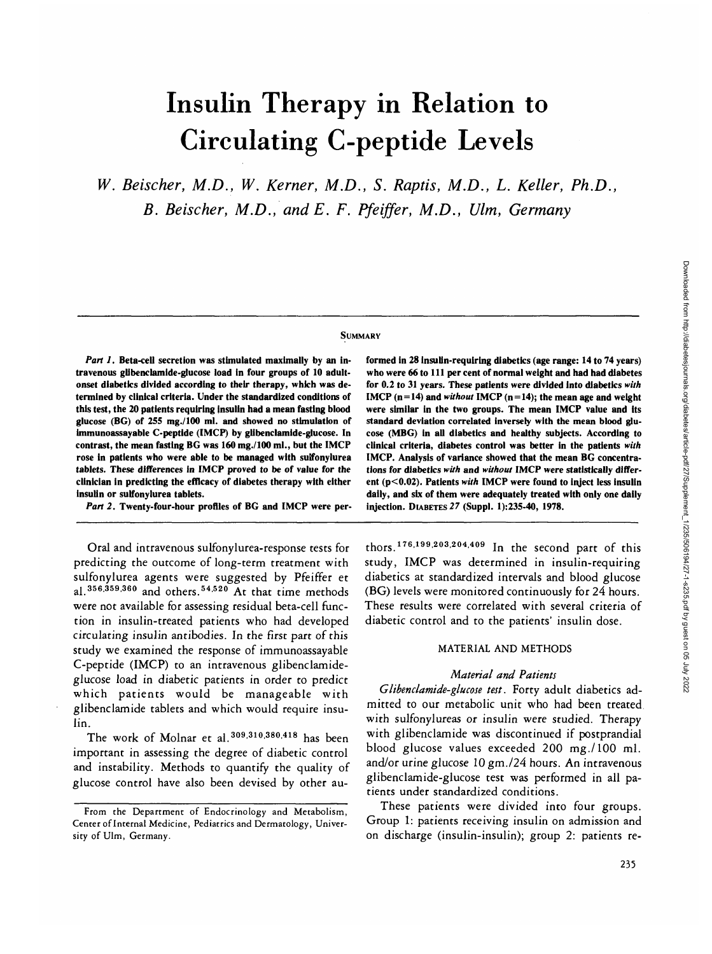# Insulin Therapy in Relation to Circulating C-peptide Levels

*W. Beischer, M.D., W. Kerner, M.D., S. Raptis, M.D., L. Keller, Ph.D., B. Beischer, M.D., andE. F. Pfeiffer, M.D., Ulm, Germany*

#### **SUMMARY**

*Part 1.* **Beta-cell secretion was stimulated maximally by an intravenous glibenclamide-glucose load in four groups of 10 adultonset diabetics divided according to their therapy, which was determined by clinical criteria. Under the standardized conditions of this test, the 20 patients requiring insulin had a mean fasting blood glucose (BG) of 255 mg./lOO ml. and showed no stimulation of immunoassayable C-peptide (IMCP) by glibenclamide-glucose. In contrast, the mean fasting BG was 160 mg./lOO ml., but the IMCP rose in patients who were able to be managed with sulfonylurea tablets. These differences in IMCP proved to be of value for the clinician in predicting the efficacy of diabetes therapy with either insulin or sulfonylurea tablets.**

*Part 2.* **Twenty-four-hour profiles of BG and IMCP were per-**

Oral and intravenous sulfonylurea-response tests for predicting the outcome of long-term treatment with sulfonylurea agents were suggested by Pfeiffer et al.<sup>356,359,360</sup> and others.<sup>54,520</sup> At that time methods were not available for assessing residual beta-cell function in insulin-treated patients who had developed circulating insulin antibodies. In the first part of this study we examined the response of immunoassayable C-peptide (IMCP) to an intravenous glibenclamideglucose load in diabetic patients in order to predict which patients would be manageable with glibenclamide tablets and which would require insulin.

The work of Molnar et al.<sup>309,310,380,418</sup> has been important in assessing the degree of diabetic control and instability. Methods to quantify the quality of glucose control have also been devised by other au**formed in 28 insulin-requiring diabetics (age range: 14 to 74 years) who were 66 to 111 per cent of normal weight and had had diabetes for 0.2 to 31 years. These patients were divided into diabetics** *with* **IMCP** ( $n = 14$ ) and *without* **IMCP** ( $n = 14$ ); the mean age and weight **were similar in the two groups. The mean IMCP value and its standard deviation correlated inversely with the mean blood glucose (MBG) in all diabetics and healthy subjects. According to clinical criteria, diabetes control was better in the patients** *with* **IMCP. Analysis of variance showed that the mean BG concentrations for diabetics** *with* **and** *without* **IMCP were statistically different (p<0.02). Patients** *with* **IMCP were found to inject less insulin daily, and six of them were adequately treated with only one daily injection. DIABETES** *27* **(Suppl. 1):235-40, 1978.**

thors.<sup>176,199,203,204,409</sup> In the second part of this study, IMCP was determined in insulin-requiring diabetics at standardized intervals and blood glucose (BG) levels were monitored continuously for 24 hours. These results were correlated with several criteria of diabetic control and to the patients' insulin dose.

## MATERIAL AND METHODS

## *Material and Patients*

*Glibenclamide-glucose test.* Forty adult diabetics admitted to our metabolic unit who had been treated with sulfonylureas or insulin were studied. Therapy with glibenclamide was discontinued if postprandial blood glucose values exceeded 200 mg./lOO ml. and/or urine glucose 10 gm./24 hours. An intravenous glibenclamide-glucose test was performed in all patients under standardized conditions.

These patients were divided into four groups. Group 1: patients receiving insulin on admission and on discharge (insulin-insulin); group 2: patients re-

**From the Department of Endocrinology and Metabolism, Center oflnternal Medicine, Pediatrics and Dermatology, University of Ulm, Germany.**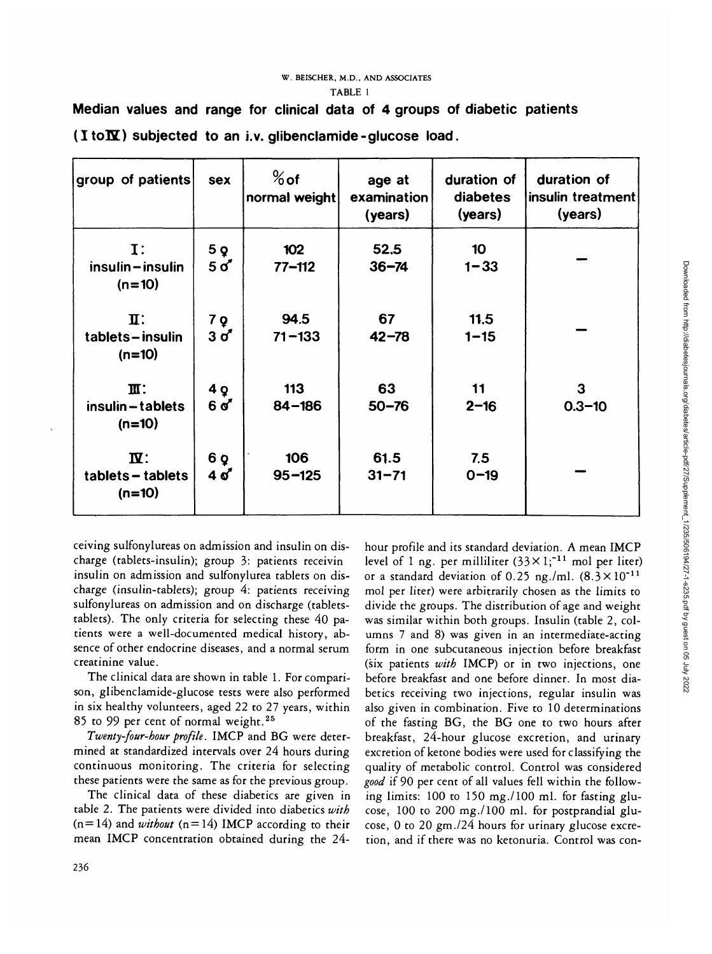#### **W. BEISCHER, M.D., AND ASSOCIATES TABLE 1**

| group of patients                               | sex                   | $%$ of<br>normal weight | age at<br>examination<br>(years) | duration of<br>diabetes<br>(years) | duration of<br>insulin treatment<br>(years) |  |
|-------------------------------------------------|-----------------------|-------------------------|----------------------------------|------------------------------------|---------------------------------------------|--|
| $\mathbf{I}$ :<br>insulin-insulin<br>$(n=10)$   | 5Q<br>$5\sigma$       | 102<br>$77 - 112$       | 52.5<br>$36 - 74$                | 10<br>$1 - 33$                     |                                             |  |
| $\mathbf{I}$ :<br>tablets-insulin<br>$(n=10)$   | 7Q<br>$3\sigma$       | 94.5<br>$71 - 133$      | 67<br>$42 - 78$                  | 11.5<br>$1 - 15$                   |                                             |  |
| $\mathbf{m}$ :<br>insulin-tablets<br>$(n=10)$   | 4 <sub>Q</sub><br>6 ď | 113<br>$84 - 186$       | 63<br>$50 - 76$                  | 11<br>$2 - 16$                     | 3<br>$0.3 - 10$                             |  |
| $\mathbf{N}$ :<br>tablets - tablets<br>$(n=10)$ | 6 Q<br>4 ơ            | 106<br>$95 - 125$       | 61.5<br>$31 - 71$                | 7.5<br>$0 - 19$                    |                                             |  |

**Median values and range for clinical data of 4 groups of diabetic patients**  $(I \text{ to } \mathbf{\overline{N}})$  subjected to an i.v. glibenclamide-glucose load.

ceiving sulfonylureas on admission and insulin on discharge (tablets-insulin); group 3: patients receivin insulin on admission and sulfonylurea tablets on discharge (insulin-tablets); group 4: patients receiving sulfonylureas on admission and on discharge (tabletstablets). The only criteria for selecting these 40 patients were a well-documented medical history, absence of other endocrine diseases, and a normal serum creatinine value.

The clinical data are shown in table 1. For comparison, glibenclamide-glucose tests were also performed in six healthy volunteers, aged 22 to 27 years, within 85 to 99 per cent of normal weight.25

*Twenty-four-hour profile.* IMCP and BG were determined at standardized intervals over 24 hours during continuous monitoring. The criteria for selecting these patients were the same as for the previous group.

The clinical data of these diabetics are given in table 2. The patients were divided into diabetics *with*  $(n=14)$  and *without*  $(n=14)$  IMCP according to their mean IMCP concentration obtained during the 24hour profile and its standard deviation. A mean IMCP level of 1 ng. per milliliter (33 $\times$ 1;<sup>-11</sup> mol per liter) or a standard deviation of 0.25 ng./ml.  $(8.3 \times 10^{-11})$ mol per liter) were arbitrarily chosen as the limits to divide the groups. The distribution of age and weight was similar within both groups. Insulin (table 2, columns 7 and 8) was given in an intermediate-acting form in one subcutaneous injection before breakfast (six patients *with* IMCP) or in two injections, one before breakfast and one before dinner. In most diabetics receiving two injections, regular insulin was also given in combination. Five to 10 determinations of the fasting BG, the BG one to two hours after breakfast, 24-hour glucose excretion, and urinary excretion of ketone bodies were used for classifying the quality of metabolic control. Control was considered *good* if 90 per cent of all values fell within the following limits: 100 to 150 mg./lOO ml. for fasting glucose, 100 to 200 mg./lOO ml. for postprandial glucose, 0 to 20 gm./24 hours for urinary glucose excretion, and if there was no ketonuria. Control was con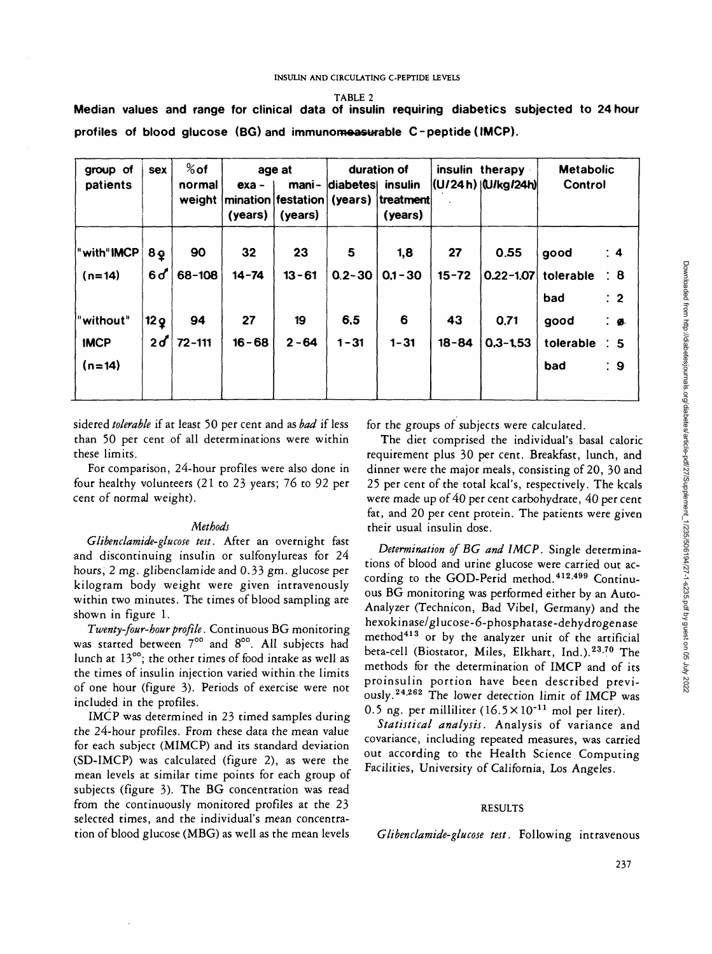**TABLE 2**

| group of<br>patients                 | <b>Sex</b>                       | $%$ of<br>normal<br>weight | age at<br>mani-<br>$exa -$<br> mination festation (years)  treatment <br>(years)<br>(years) |                 | duration of<br>diabetes insulin<br>(years) |                   | insulin therapy<br> (U/24 h) (U/kg/24 h) |                       | <b>Metabolic</b><br>Control |                                                     |
|--------------------------------------|----------------------------------|----------------------------|---------------------------------------------------------------------------------------------|-----------------|--------------------------------------------|-------------------|------------------------------------------|-----------------------|-----------------------------|-----------------------------------------------------|
| with"IMCP<br>$(n=14)$                | 8 <sub>Q</sub><br>6 <sub>o</sub> | 90<br>68-108               | 32<br>$14 - 74$                                                                             | 23<br>$13 - 61$ | 5<br>$0.2 - 30$                            | 1,8<br>$0.1 - 30$ | 27<br>$15 - 72$                          | 0.55<br>$0.22 - 1.07$ | good<br>tolerable<br>bad    | $\therefore$ 4<br>$\div$ 8<br>$\therefore$ 2        |
| "without"<br><b>IMCP</b><br>$(n=14)$ | 12 <sub>Q</sub><br>2d            | 94<br>$72 - 111$           | 27<br>$16 - 68$                                                                             | 19<br>$2 - 64$  | 6,5<br>$1 - 31$                            | 6<br>$1 - 31$     | 43<br>$18 - 84$                          | 0,71<br>$0.3 - 1.53$  | good<br>tolerable<br>bad    | $\cdot$ $\cdot$<br>$\therefore$ 5<br>$\therefore$ 9 |

**Median values and range for clinical data of insulin requiring diabetics subjected to 24 hour profiles of blood glucose (BG) and immunomeasurable C-peptide (IMCP).**

sidered *tolerable* if at least 50 per cent and as *bad* if less than 50 per cent of all determinations were within these limits.

For comparison, 24-hour profiles were also done in four healthy volunteers (21 to 23 years; 76 to 92 per cent of normal weight).

## *Methods*

*Glibendamide-glucose test.* After an overnight fast and discontinuing insulin or sulfonylureas for 24 hours, 2 mg. glibendamide and 0.33 gm. glucose per kilogram body weight were given intravenously within two minutes. The times of blood sampling are shown in figure 1.

*Twenty-four-hour profile.* Continuous BG monitoring was started between 700 and 800. All subjects had lunch at 13°°; the other times of food intake as well as the times of insulin injection varied within the limits of one hour (figure 3). Periods of exercise were not included in the profiles.

IMCP was determined in 23 timed samples during the 24-hour profiles. From these data the mean value for each subject (MIMCP) and its standard deviation (SD-IMCP) was calculated (figure 2), as were the mean levels at similar time points for each group of subjects (figure 3). The BG concentration was read from the continuously monitored profiles at the 23 selected times, and the individual's mean concentration of blood glucose (MBG) as well as the mean levels for the groups of subjects were calculated.

The diet comprised the individual's basal caloric requirement plus 30 per cent. Breakfast, lunch, and dinner were the major meals, consisting of 20, 30 and 25 per cent of the total kcal's, respectively. The kcals were made up of 40 per cent carbohydrate, 40 per cent fat, and 20 per cent protein. The patients were given their usual insulin dose.

*Determination of BG and IMCP.* Single determinations of blood and urine glucose were carried out according to the GOD-Perid method.<sup>412,499</sup> Continuous BG monitoring was performed either by an Auto-Analyzer (Technicon, Bad Vibel, Germany) and the hexokinase/glucose-6-phosphatase-dehydrogenase method<sup>413</sup> or by the analyzer unit of the artificial beta-cell (Biostator, Miles, Elkhart, Ind.).<sup>23,70</sup> The methods for the determination of IMCP and of its proinsulin portion have been described previously.<sup>24,262</sup> The lower detection limit of IMCP was 0.5 ng. per milliliter  $(16.5 \times 10^{-11}$  mol per liter).

*Statistical analysis.* Analysis of variance and covariance, including repeated measures, was carried out according to the Health Science Computing Facilities, University of California, Los Angeles.

## RESULTS

*Glibenclamide-glucose test.* Following intravenous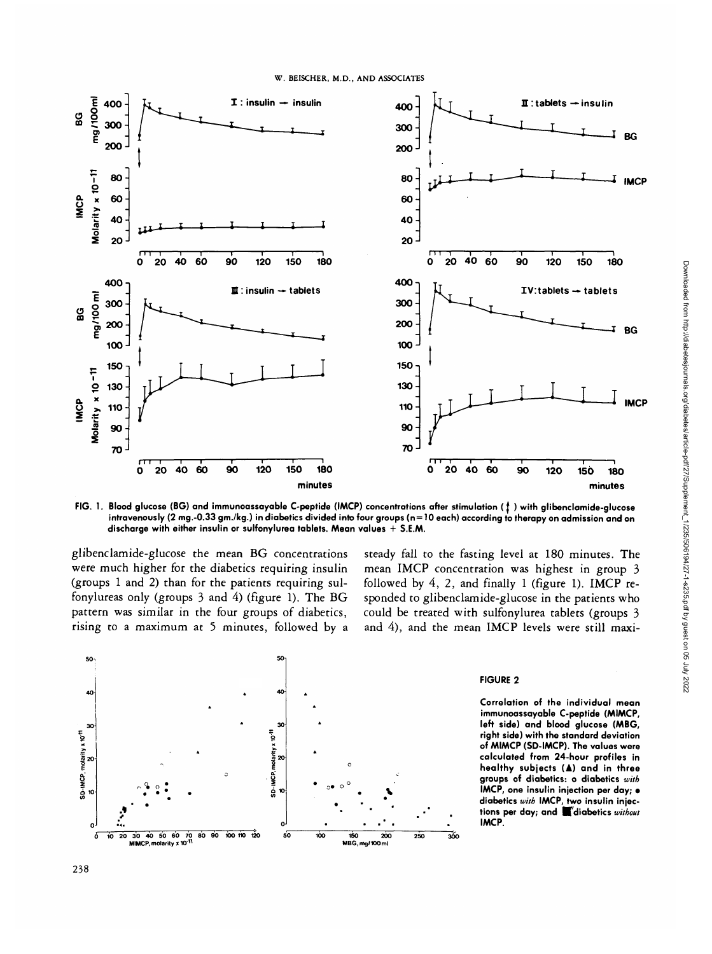

**FIG. 1. Blood glucose (BG) and immunoassayable C-peptide (IMCP) concentrations after stimulation (f ) with glibenclamide-glucose intravenously (2 mg.-0.33 gm./kg.) in diabetics divided into four groups (n = 10 each) according to therapy on admission and on discharge with either insulin or sulfonylurea tablets. Mean values + S.E.M.**

glibenclamide-glucose the mean BG concentrations were much higher for the diabetics requiring insulin (groups 1 and 2) than for the patients requiring sulfonylureas only (groups 3 and 4) (figure 1). The BG pattern was similar in the four groups of diabetics, rising to a maximum at 5 minutes, followed by a

steady fall to the fasting level at 180 minutes. The mean IMCP concentration was highest in group 3 followed by 4, 2, and finally 1 (figure 1). IMCP responded to glibenclamide-glucose in the patients who could be treated with sulfonylurea tablets (groups 3 and 4), and the mean IMCP levels were still maxi-



## **FIGURE 2**

**Correlation of the individual mean immunoassayable C-peptide (MIMCP, left side) and blood glucose (MBG, right side) with the standard deviation of MIMCP (SD-IMCP). The values were calculated from 24-hour profiles in healthy subjects (A) and in three groups of diabetics: o diabetics with IMCP, one insulin injection per day; • diabetics with IMCP, two insulin injec**tions per day; and **V**diabetics without **IMCP.**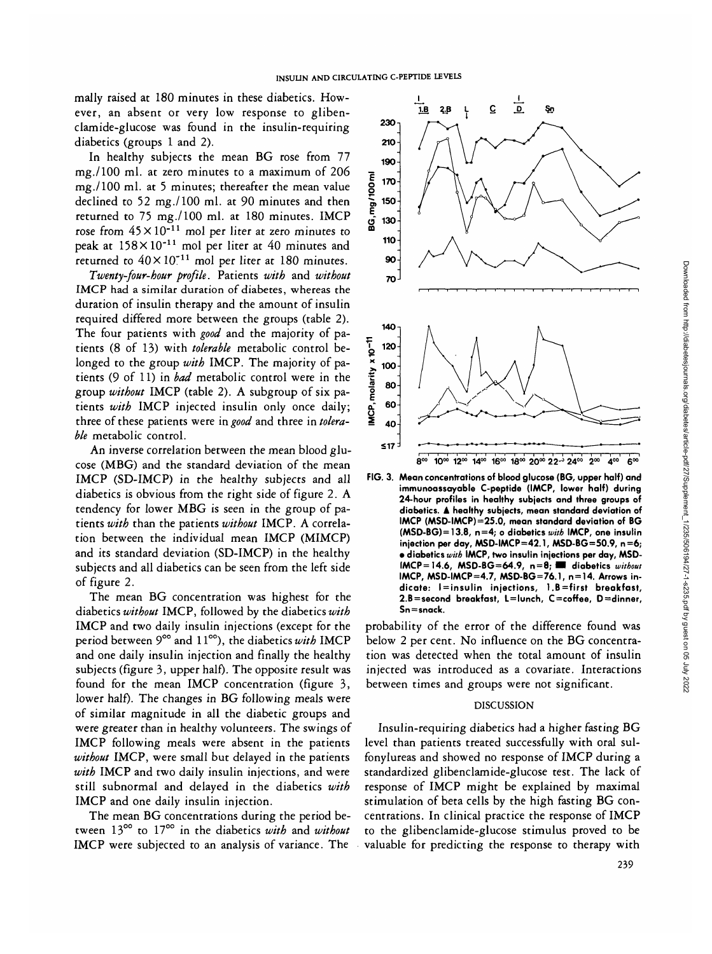mally raised at 180 minutes in these diabetics. However, an absent or very low response to glibenclamide-glucose was found in the insulin-requiring diabetics (groups 1 and 2).

In healthy subjects the mean BG rose from 77 mg./lOO ml. at zero minutes to a maximum of 206 mg./lOO ml. at 5 minutes; thereafter the mean value declined to 52 mg./lOO ml. at 90 minutes and then returned to 75 mg./lOO ml. at 180 minutes. IMCP rose from  $45 \times 10^{-11}$  mol per liter at zero minutes to peak at  $158 \times 10^{-11}$  mol per liter at 40 minutes and .<br>returned to 40×10<sup>-11</sup> mol per liter at 180 minutes.

*Twenty-four-hour profile.* Patients *with* and *without* IMCP had a similar duration of diabetes, whereas the duration of insulin therapy and the amount of insulin required differed more between the groups (table 2). The four patients with *good* and the majority of patients (8 of 13) with *tolerable* metabolic control belonged to the group *with* IMCP. The majority of patients (9 of 11) in *bad* metabolic control were in the group *without* IMCP (table 2). A subgroup of six patients *with* IMCP injected insulin only once daily; three of these patients were *in good* and three in *tolerable* metabolic control.

An inverse correlation between the mean blood glucose (MBG) and the standard deviation of the mean IMCP (SD-IMCP) in the healthy subjects and all diabetics is obvious from the right side of figure 2. A tendency for lower MBG is seen in the group of patients *with* than the patients *without* IMCP. A correlation between the individual mean IMCP (MIMCP) and its standard deviation (SD-IMCP) in the healthy subjects and all diabetics can be seen from the left side of figure 2.

The mean BG concentration was highest for the diabetics *without* IMCP, followed by the diabetics *with* IMCP and two daily insulin injections (except for the period between 9<sup>oo</sup> and 11<sup>oo</sup>), the diabetics with IMCP and one daily insulin injection and finally the healthy subjects (figure 3, upper half). The opposite result was found for the mean IMCP concentration (figure 3, lower half). The changes in BG following meals were of similar magnitude in all the diabetic groups and were greater than in healthy volunteers. The swings of IMCP following meals were absent in the patients *without* IMCP, were small but delayed in the patients *with* IMCP and two daily insulin injections, and were still subnormal and delayed in the diabetics *with* IMCP and one daily insulin injection.

The mean BG concentrations during the period between 13°° to 17<sup>00</sup> in the diabetics *with* and *without* IMCP were subjected to an analysis of variance. The



**FIG. 3. Mean concentrations of blood glucose (BG, upper half) and immunoassayable C-peptide (IMCP, lower half) during 24-hour profiles in healthy subjects and three groups of diabetics. A healthy subjects, mean standard deviation of IMCP (MSD-IMCP)=25.0, mean standard deviation of BG (MSD-BG)=13.8, n=4; o diabetics with IMCP, one insulin injection per day, MSD-IMCP=42.1, MSD-BG=50.9, n=6; • diabetics with IMCP, two insulin injections per day, MSD-IMCP=l4.6, MSD-BG=64.9, n=8 ; • diabetics without IMCP, MSD-IMCP=4.7, MSD-BG=76.1, n = 14. Arrows indicate: l = insulin injections, l.B=first breakfast, 2.B=second breakfast, L=lunch, C=coffee, D=dinner, Sn=snack.**

probability of the error of the difference found was below 2 per cent. No influence on the BG concentration was detected when the total amount of insulin injected was introduced as a covariate. Interactions between times and groups were not significant.

## DISCUSSION

Insulin-requiring diabetics had a higher fasting BG level than patients treated successfully with oral sulfonylureas and showed no response of IMCP during a standardized glibenclamide-glucose test. The lack of response of IMCP might be explained by maximal stimulation of beta cells by the high fasting BG concentrations. In clinical practice the response of IMCP to the glibenclamide-glucose stimulus proved to be valuable for predicting the response to therapy with